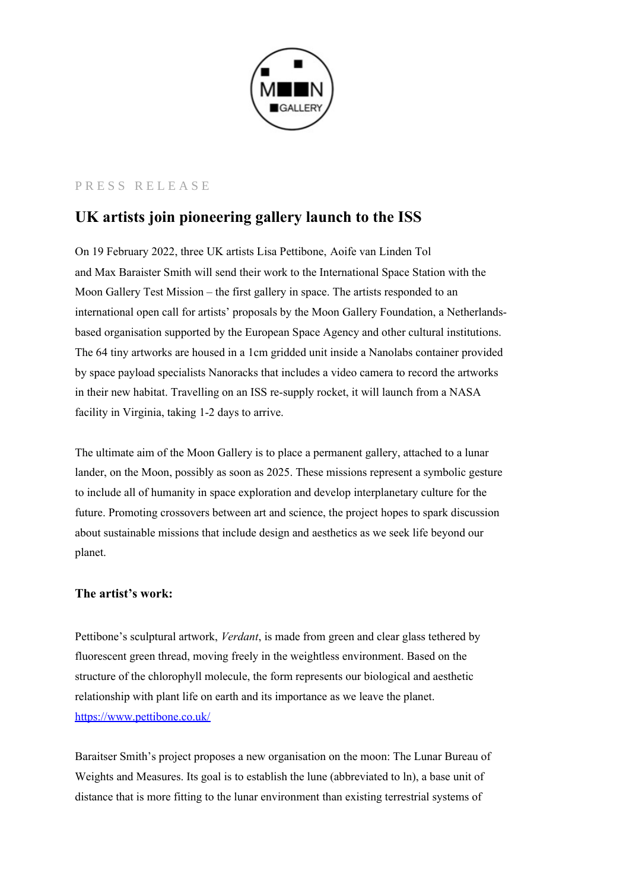

## PRESS RELEASE

# **UK artists join pioneering gallery launch to the ISS**

On 19 February 2022, three UK artists Lisa Pettibone, Aoife van Linden Tol and Max Baraister Smith will send their work to the International Space Station with the Moon Gallery Test Mission – the first gallery in space. The artists responded to an international open call for artists' proposals by the Moon Gallery Foundation, a Netherlandsbased organisation supported by the European Space Agency and other cultural institutions. The 64 tiny artworks are housed in a 1cm gridded unit inside a Nanolabs container provided by space payload specialists Nanoracks that includes a video camera to record the artworks in their new habitat. Travelling on an ISS re-supply rocket, it will launch from a NASA facility in Virginia, taking 1-2 days to arrive.

The ultimate aim of the Moon Gallery is to place a permanent gallery, attached to a lunar lander, on the Moon, possibly as soon as 2025. These missions represent a symbolic gesture to include all of humanity in space exploration and develop interplanetary culture for the future. Promoting crossovers between art and science, the project hopes to spark discussion about sustainable missions that include design and aesthetics as we seek life beyond our planet.

# **The artist's work:**

Pettibone's sculptural artwork, *Verdant*, is made from green and clear glass tethered by fluorescent green thread, moving freely in the weightless environment. Based on the structure of the chlorophyll molecule, the form represents our biological and aesthetic relationship with plant life on earth and its importance as we leave the planet. <https://www.pettibone.co.uk/>

Baraitser Smith's project proposes a new organisation on the moon: The Lunar Bureau of Weights and Measures. Its goal is to establish the lune (abbreviated to ln), a base unit of distance that is more fitting to the lunar environment than existing terrestrial systems of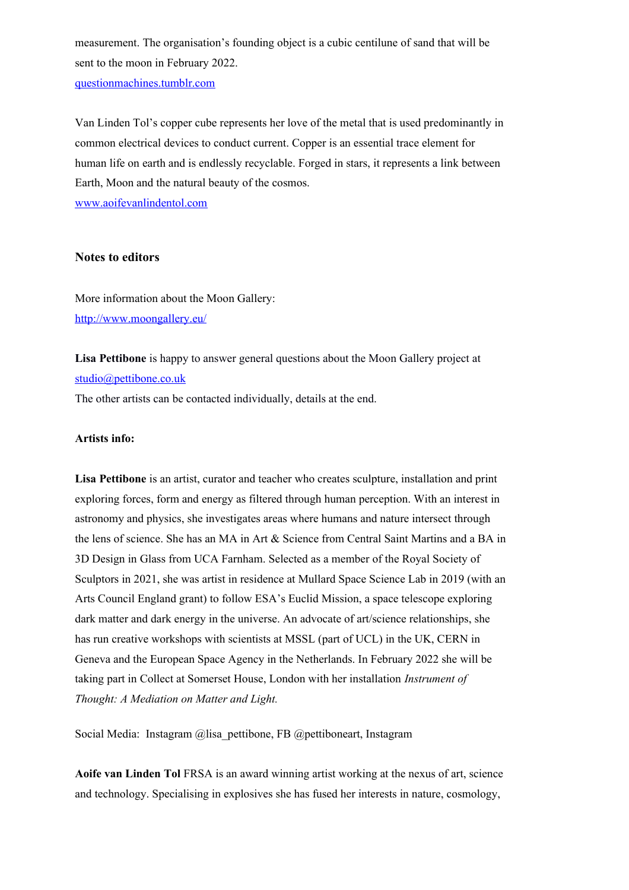measurement. The organisation's founding object is a cubic centilune of sand that will be sent to the moon in February 2022. [questionmachines.tumblr.com](http://questionmachines.tumblr.com/)

Van Linden Tol's copper cube represents her love of the metal that is used predominantly in common electrical devices to conduct current. Copper is an essential trace element for human life on earth and is endlessly recyclable. Forged in stars, it represents a link between Earth, Moon and the natural beauty of the cosmos.

[www.aoifevanlindentol.com](http://www.aoifevanlindentol.com/)

#### **Notes to editors**

More information about the Moon Gallery: <http://www.moongallery.eu/>

**Lisa Pettibone** is happy to answer general questions about the Moon Gallery project at [studio@pettibone.co.uk](mailto:studio@pettibone.co.uk)

The other artists can be contacted individually, details at the end.

#### **Artists info:**

**Lisa Pettibone** is an artist, curator and teacher who creates sculpture, installation and print exploring forces, form and energy as filtered through human perception. With an interest in astronomy and physics, she investigates areas where humans and nature intersect through the lens of science. She has an MA in Art & Science from Central Saint Martins and a BA in 3D Design in Glass from UCA Farnham. Selected as a member of the Royal Society of Sculptors in 2021, she was artist in residence at Mullard Space Science Lab in 2019 (with an Arts Council England grant) to follow ESA's Euclid Mission, a space telescope exploring dark matter and dark energy in the universe. An advocate of art/science relationships, she has run creative workshops with scientists at MSSL (part of UCL) in the UK, CERN in Geneva and the European Space Agency in the Netherlands. In February 2022 she will be taking part in Collect at Somerset House, London with her installation *Instrument of Thought: A Mediation on Matter and Light.*

Social Media: Instagram @lisa\_pettibone, FB @pettiboneart, Instagram

**Aoife van Linden Tol** FRSA is an award winning artist working at the nexus of art, science and technology. Specialising in explosives she has fused her interests in nature, cosmology,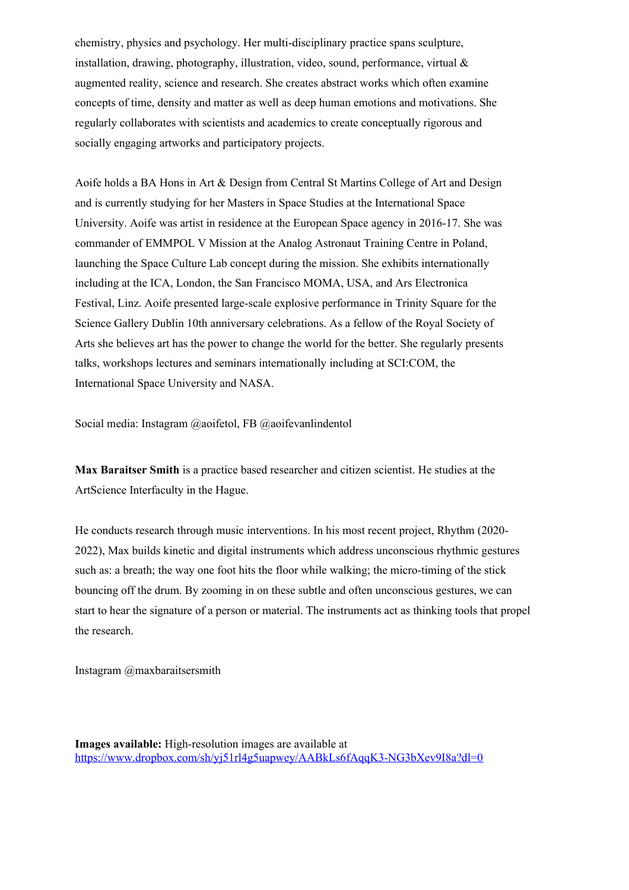chemistry, physics and psychology. Her multi-disciplinary practice spans sculpture, installation, drawing, photography, illustration, video, sound, performance, virtual & augmented reality, science and research. She creates abstract works which often examine concepts of time, density and matter as well as deep human emotions and motivations. She regularly collaborates with scientists and academics to create conceptually rigorous and socially engaging artworks and participatory projects.

Aoife holds a BA Hons in Art & Design from Central St Martins College of Art and Design and is currently studying for her Masters in Space Studies at the International Space University. Aoife was artist in residence at the European Space agency in 2016-17. She was commander of EMMPOL V Mission at the Analog Astronaut Training Centre in Poland, launching the Space Culture Lab concept during the mission. She exhibits internationally including at the ICA, London, the San Francisco MOMA, USA, and Ars Electronica Festival, Linz. Aoife presented large-scale explosive performance in Trinity Square for the Science Gallery Dublin 10th anniversary celebrations. As a fellow of the Royal Society of Arts she believes art has the power to change the world for the better. She regularly presents talks, workshops lectures and seminars internationally including at SCI:COM, the International Space University and NASA.

Social media: Instagram @aoifetol, FB @aoifevanlindentol

**Max Baraitser Smith** is a practice based researcher and citizen scientist. He studies at the ArtScience Interfaculty in the Hague.

He conducts research through music interventions. In his most recent project, Rhythm (2020- 2022), Max builds kinetic and digital instruments which address unconscious rhythmic gestures such as: a breath; the way one foot hits the floor while walking; the micro-timing of the stick bouncing off the drum. By zooming in on these subtle and often unconscious gestures, we can start to hear the signature of a person or material. The instruments act as thinking tools that propel the research.

Instagram @maxbaraitsersmith